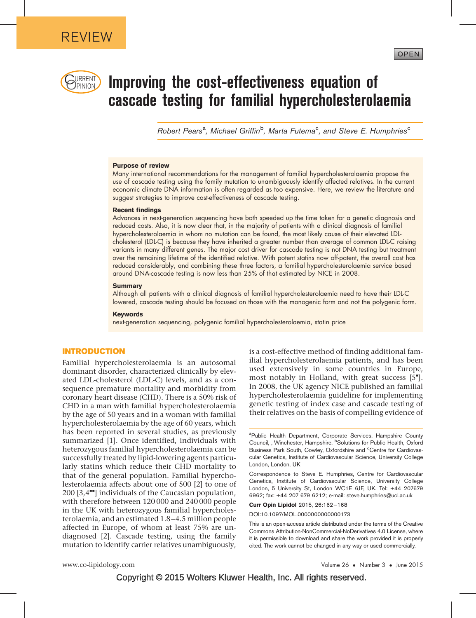

# $\mathbb{C}_{\mathbb{P}}$   $\mathbb{P}_{\mathbb{P}}$  and  $\mathbb{P}_{\mathbb{P}}$  and  $\mathbb{P}_{\mathbb{P}}$  are cost-effectiveness equation of cascade testing for familial hypercholesterolaemia

Robert Pears<sup>a</sup>, Michael Griffin<sup>b</sup>, Marta Futema<sup>c</sup>, and Steve E. Humphries<sup>c</sup>

#### Purpose of review

Many international recommendations for the management of familial hypercholesterolaemia propose the use of cascade testing using the family mutation to unambiguously identify affected relatives. In the current economic climate DNA information is often regarded as too expensive. Here, we review the literature and suggest strategies to improve cost-effectiveness of cascade testing.

#### Recent findings

Advances in next-generation sequencing have both speeded up the time taken for a genetic diagnosis and reduced costs. Also, it is now clear that, in the majority of patients with a clinical diagnosis of familial hypercholesterolaemia in whom no mutation can be found, the most likely cause of their elevated LDLcholesterol (LDL-C) is because they have inherited a greater number than average of common LDL-C raising variants in many different genes. The major cost driver for cascade testing is not DNA testing but treatment over the remaining lifetime of the identified relative. With potent statins now off-patent, the overall cost has reduced considerably, and combining these three factors, a familial hypercholesterolaemia service based around DNA-cascade testing is now less than 25% of that estimated by NICE in 2008.

#### **Summary**

Although all patients with a clinical diagnosis of familial hypercholesterolaemia need to have their LDL-C lowered, cascade testing should be focused on those with the monogenic form and not the polygenic form.

#### Keywords

next-generation sequencing, polygenic familial hypercholesterolaemia, statin price

#### INTRODUCTION

Familial hypercholesterolaemia is an autosomal dominant disorder, characterized clinically by elevated LDL-cholesterol (LDL-C) levels, and as a consequence premature mortality and morbidity from coronary heart disease (CHD). There is a 50% risk of CHD in a man with familial hypercholesterolaemia by the age of 50 years and in a woman with familial hypercholesterolaemia by the age of 60 years, which has been reported in several studies, as previously summarized [\[1\]](#page-5-0). Once identified, individuals with heterozygous familial hypercholesterolaemia can be successfully treated by lipid-lowering agents particularly statins which reduce their CHD mortality to that of the general population. Familial hypercholesterolaemia affects about one of 500 [\[2\]](#page-5-0) to one of  $200$  [3.4 $\text{m}$ [\]](#page-5-0) individuals of the Caucasian population. with therefore between 120 000 and 240 000 people in the UK with heterozygous familial hypercholesterolaemia, and an estimated 1.8–4.5 million people affected in Europe, of whom at least 75% are undiagnosed [\[2\]](#page-5-0). Cascade testing, using the family mutation to identify carrier relatives unambiguously,

is a cost-effective method of finding additional familial hypercholesterolaemia patients, and has been used extensively in some countries in Europe, most notably in Holland, with great success  $[5$ <sup>"</sup>[\]](#page-5-0). In 2008, the UK agency NICE published an familial hypercholesterolaemia guideline for implementing genetic testing of index case and cascade testing of their relatives on the basis of compelling evidence of

OPEN

Correspondence to Steve E. Humphries, Centre for Cardiovascular Genetics, Institute of Cardiovascular Science, University College London, 5 University St, London WC1E 6JF, UK. Tel: +44 207679 6962; fax: +44 207 679 6212; e-mail: [steve.humphries@ucl.ac.uk](mailto:steve.humphries@ucl.ac.uk)

Curr Opin Lipidol 2015, 26:162–168

DOI:10.1097/MOL.0000000000000173

<sup>&</sup>lt;sup>a</sup>Public Health Department, Corporate Services, Hampshire County Council, , Winchester, Hampshire, <sup>b</sup>Solutions for Public Health, Oxford Business Park South, Cowley, Oxfordshire and <sup>c</sup>Centre for Cardiovascular Genetics, Institute of Cardiovascular Science, University College London, London, UK

This is an open-access article distributed under the terms of the Creative Commons Attribution-NonCommercial-NoDerivatives 4.0 License, where it is permissible to download and share the work provided it is properly cited. The work cannot be changed in any way or used commercially.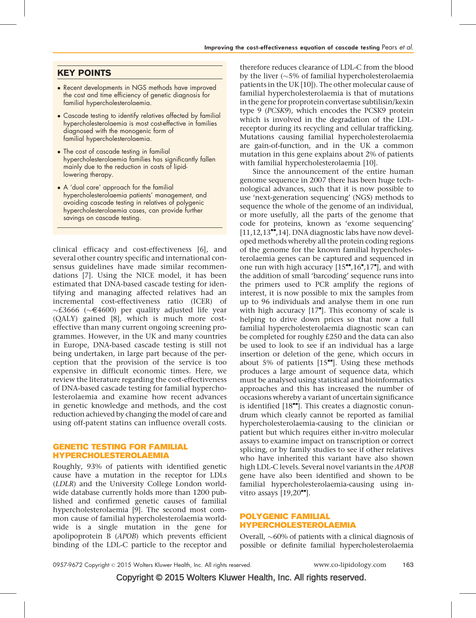## KEY POINTS

- Recent developments in NGS methods have improved the cost and time efficiency of genetic diagnosis for familial hypercholesterolaemia.
- Cascade testing to identify relatives affected by familial hypercholesterolaemia is most cost-effective in families diagnosed with the monogenic form of familial hypercholesterolaemia.
- The cost of cascade testing in familial hypercholesterolaemia families has significantly fallen mainly due to the reduction in costs of lipidlowering therapy.
- A 'dual care' approach for the familial hypercholesterolaemia patients' management, and avoiding cascade testing in relatives of polygenic hypercholesterolaemia cases, can provide further savings on cascade testing.

clinical efficacy and cost-effectiveness [\[6\],](#page-5-0) and several other country specific and international consensus guidelines have made similar recommendations [\[7\]](#page-5-0). Using the NICE model, it has been estimated that DNA-based cascade testing for identifying and managing affected relatives had an incremental cost-effectiveness ratio (ICER) of  $\sim$ £3666 ( $\sim$ €4600) per quality adjusted life year (QALY) gained [\[8\],](#page-5-0) which is much more costeffective than many current ongoing screening programmes. However, in the UK and many countries in Europe, DNA-based cascade testing is still not being undertaken, in large part because of the perception that the provision of the service is too expensive in difficult economic times. Here, we review the literature regarding the cost-effectiveness of DNA-based cascade testing for familial hypercholesterolaemia and examine how recent advances in genetic knowledge and methods, and the cost reduction achieved by changing the model of care and using off-patent statins can influence overall costs.

## GENETIC TESTING FOR FAMILIAL HYPERCHOLESTEROLAEMIA

Roughly, 93% of patients with identified genetic cause have a mutation in the receptor for LDLs (LDLR) and the University College London worldwide database currently holds more than 1200 published and confirmed genetic causes of familial hypercholesterolaemia [\[9\].](#page-5-0) The second most common cause of familial hypercholesterolaemia worldwide is a single mutation in the gene for apolipoprotein B (APOB) which prevents efficient binding of the LDL-C particle to the receptor and therefore reduces clearance of LDL-C from the blood by the liver ( ${\sim}5\%$  of familial hypercholesterolaemia patients in the UK [\[10\]\)](#page-5-0). The other molecular cause of familial hypercholesterolaemia is that of mutations in the gene for proprotein convertase subtilisin/kexin type 9 (PCSK9), which encodes the PCSK9 protein which is involved in the degradation of the LDLreceptor during its recycling and cellular trafficking. Mutations causing familial hypercholesterolaemia are gain-of-function, and in the UK a common mutation in this gene explains about 2% of patients with familial hypercholesterolaemia [\[10\].](#page-5-0)

Since the announcement of the entire human genome sequence in 2007 there has been huge technological advances, such that it is now possible to use 'next-generation sequencing' (NGS) methods to sequence the whole of the genome of an individual, or more usefully, all the parts of the genome that code for proteins, known as 'exome sequencing'  $[11,12,13^{\bullet\bullet},14]$  $[11,12,13^{\bullet\bullet},14]$ . DNA diagnostic labs have now developed methods whereby all the protein coding regions of the genome for the known familial hypercholesterolaemia genes can be captured and sequenced in one run with high accuracy  $[15"$  $[15"$ [,16](#page-5-0)"[,17](#page-5-0)"[\]](#page-5-0), and with the addition of small 'barcoding' sequence runs into the primers used to PCR amplify the regions of interest, it is now possible to mix the samples from up to 96 individuals and analyse them in one run with high accuracy  $[17<sup>*</sup>]$  $[17<sup>*</sup>]$  $[17<sup>*</sup>]$ . This economy of scale is helping to drive down prices so that now a full familial hypercholesterolaemia diagnostic scan can be completed for roughly £250 and the data can also be used to look to see if an individual has a large insertion or deletion of the gene, which occurs in about 5% of patients  $[15"']$  $[15"']$  $[15"']$ . Using these methods produces a large amount of sequence data, which must be analysed using statistical and bioinformatics approaches and this has increased the number of occasions whereby a variant of uncertain significance is identified  $[18\text{'''}]$  $[18\text{'''}]$  $[18\text{'''}]$ . This creates a diagnostic conundrum which clearly cannot be reported as familial hypercholesterolaemia-causing to the clinician or patient but which requires either in-vitro molecular assays to examine impact on transcription or correct splicing, or by family studies to see if other relatives who have inherited this variant have also shown high LDL-C levels. Several novel variants in the APOB gene have also been identified and shown to be familial hypercholesterolaemia-causing using invitro assays  $[19,20$ <sup> $\text{--}$ </sup>[\]](#page-5-0).

## POLYGENIC FAMILIAL HYPERCHOLESTEROLAEMIA

Overall,  $\sim$  60% of patients with a clinical diagnosis of possible or definite familial hypercholesterolaemia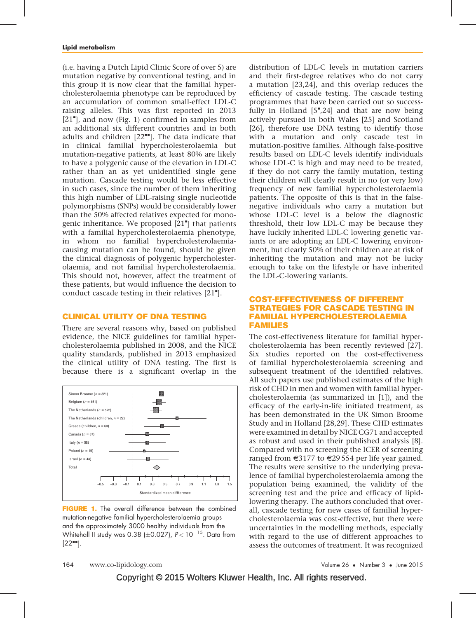(i.e. having a Dutch Lipid Clinic Score of over 5) are mutation negative by conventional testing, and in this group it is now clear that the familial hypercholesterolaemia phenotype can be reproduced by an accumulation of common small-effect LDL-C raising alleles. This was first reported in 2013 [\[21](#page-5-0)"[\],](#page-5-0) and now (Fig. 1) confirmed in samples from an additional six different countries and in both adults and children  $[22<sup>**</sup>]$  $[22<sup>**</sup>]$ . The data indicate that in clinical familial hypercholesterolaemia but mutation-negative patients, at least 80% are likely to have a polygenic cause of the elevation in LDL-C rather than an as yet unidentified single gene mutation. Cascade testing would be less effective in such cases, since the number of them inheriting this high number of LDL-raising single nucleotide polymorphisms (SNPs) would be considerably lower than the 50% affected relatives expected for mono-genic inheritance. We proposed [\[21](#page-5-0)"[\]](#page-5-0) that patients with a familial hypercholesterolaemia phenotype, in whom no familial hypercholesterolaemiacausing mutation can be found, should be given the clinical diagnosis of polygenic hypercholesterolaemia, and not familial hypercholesterolaemia. This should not, however, affect the treatment of these patients, but would influence the decision to conduct cascade testing in their relatives  $[21<sup>•</sup>]$  $[21<sup>•</sup>]$ .

#### CLINICAL UTILITY OF DNA TESTING

There are several reasons why, based on published evidence, the NICE guidelines for familial hypercholesterolaemia published in 2008, and the NICE quality standards, published in 2013 emphasized the clinical utility of DNA testing. The first is because there is a significant overlap in the



FIGURE 1. The overall difference between the combined mutation-negative familial hypercholesterolaemia groups and the approximately 3000 healthy individuals from the Whitehall II study was 0.38 ( $\pm$ 0.027), P < 10<sup>-15</sup>. Data from  $[22$   $]$ .

distribution of LDL-C levels in mutation carriers and their first-degree relatives who do not carry a mutation [\[23,24\]](#page-6-0), and this overlap reduces the efficiency of cascade testing. The cascade testing programmes that have been carried out so successfully in Holland  $[5",24]$  $[5",24]$  $[5",24]$  and that are now being actively pursued in both Wales [\[25\]](#page-6-0) and Scotland [\[26\],](#page-6-0) therefore use DNA testing to identify those with a mutation and only cascade test in mutation-positive families. Although false-positive results based on LDL-C levels identify individuals whose LDL-C is high and may need to be treated, if they do not carry the family mutation, testing their children will clearly result in no (or very low) frequency of new familial hypercholesterolaemia patients. The opposite of this is that in the falsenegative individuals who carry a mutation but whose LDL-C level is a below the diagnostic threshold, their low LDL-C may be because they have luckily inherited LDL-C lowering genetic variants or are adopting an LDL-C lowering environment, but clearly 50% of their children are at risk of inheriting the mutation and may not be lucky enough to take on the lifestyle or have inherited the LDL-C-lowering variants.

## COST-EFFECTIVENESS OF DIFFERENT STRATEGIES FOR CASCADE TESTING IN FAMILIAL HYPERCHOLESTEROLAEMIA FAMILIES

The cost-effectiveness literature for familial hypercholesterolaemia has been recently reviewed [\[27\]](#page-6-0). Six studies reported on the cost-effectiveness of familial hypercholesterolaemia screening and subsequent treatment of the identified relatives. All such papers use published estimates of the high risk of CHD in men and women with familial hypercholesterolaemia (as summarized in [\[1\]\)](#page-5-0), and the efficacy of the early-in-life initiated treatment, as has been demonstrated in the UK Simon Broome Study and in Holland [\[28,29\].](#page-6-0) These CHD estimates were examined in detail by NICE CG71 and accepted as robust and used in their published analysis [\[8\].](#page-5-0) Compared with no screening the ICER of screening ranged from  $\epsilon$ 3177 to  $\epsilon$ 29 554 per life year gained. The results were sensitive to the underlying prevalence of familial hypercholesterolaemia among the population being examined, the validity of the screening test and the price and efficacy of lipidlowering therapy. The authors concluded that overall, cascade testing for new cases of familial hypercholesterolaemia was cost-effective, but there were uncertainties in the modelling methods, especially with regard to the use of different approaches to assess the outcomes of treatment. It was recognized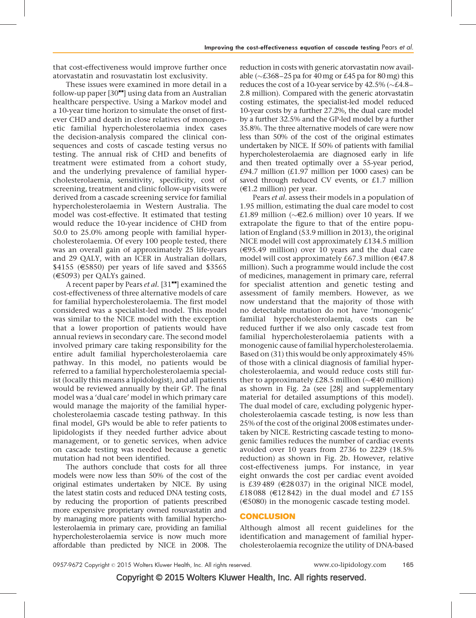that cost-effectiveness would improve further once atorvastatin and rosuvastatin lost exclusivity.

These issues were examined in more detail in a follow-up paper  $[30"$  $[30"$  using data from an Australian healthcare perspective. Using a Markov model and a 10-year time horizon to simulate the onset of firstever CHD and death in close relatives of monogenetic familial hypercholesterolaemia index cases the decision-analysis compared the clinical consequences and costs of cascade testing versus no testing. The annual risk of CHD and benefits of treatment were estimated from a cohort study, and the underlying prevalence of familial hypercholesterolaemia, sensitivity, specificity, cost of screening, treatment and clinic follow-up visits were derived from a cascade screening service for familial hypercholesterolaemia in Western Australia. The model was cost-effective. It estimated that testing would reduce the 10-year incidence of CHD from 50.0 to 25.0% among people with familial hypercholesterolaemia. Of every 100 people tested, there was an overall gain of approximately 25 life-years and 29 QALY, with an ICER in Australian dollars,  $$4155$  ( $$850$ ) per years of life saved and \$3565  $(\text{\textsterling}5093)$  per QALYs gained.

A recent paper by Pears et al. [\[31](#page-6-0)"[\]](#page-6-0) examined the cost-effectiveness of three alternative models of care for familial hypercholesterolaemia. The first model considered was a specialist-led model. This model was similar to the NICE model with the exception that a lower proportion of patients would have annual reviews in secondary care. The second model involved primary care taking responsibility for the entire adult familial hypercholesterolaemia care pathway. In this model, no patients would be referred to a familial hypercholesterolaemia specialist (locally this means a lipidologist), and all patients would be reviewed annually by their GP. The final model was a 'dual care' model in which primary care would manage the majority of the familial hypercholesterolaemia cascade testing pathway. In this final model, GPs would be able to refer patients to lipidologists if they needed further advice about management, or to genetic services, when advice on cascade testing was needed because a genetic mutation had not been identified.

The authors conclude that costs for all three models were now less than 50% of the cost of the original estimates undertaken by NICE. By using the latest statin costs and reduced DNA testing costs, by reducing the proportion of patients prescribed more expensive proprietary owned rosuvastatin and by managing more patients with familial hypercholesterolaemia in primary care, providing an familial hypercholesterolaemia service is now much more affordable than predicted by NICE in 2008. The

reduction in costs with generic atorvastatin now available ( $\sim$ £368–25 pa for 40 mg or £45 pa for 80 mg) this reduces the cost of a 10-year service by 42.5% ( $\scriptstyle\mathtt{\sim} \mathcal{E}4.8-$ 2.8 million). Compared with the generic atorvastatin costing estimates, the specialist-led model reduced 10-year costs by a further 27.2%, the dual care model by a further 32.5% and the GP-led model by a further 35.8%. The three alternative models of care were now less than 50% of the cost of the original estimates undertaken by NICE. If 50% of patients with familial hypercholesterolaemia are diagnosed early in life and then treated optimally over a 55-year period,  $£94.7$  million  $£1.97$  million per 1000 cases) can be saved through reduced CV events, or £1.7 million  $(\text{\textsterling}1.2 \text{ million})$  per year.

Pears et al. assess their models in a population of 1.95 million, estimating the dual care model to cost £1.89 million ( $\sim \in 2.6$  million) over 10 years. If we extrapolate the figure to that of the entire population of England (53.9 million in 2013), the original NICE model will cost approximately £134.5 million  $(\in \{95.49 \text{ million})$  over 10 years and the dual care model will cost approximately £67.3 million ( $€47.8$ ) million). Such a programme would include the cost of medicines, management in primary care, referral for specialist attention and genetic testing and assessment of family members. However, as we now understand that the majority of those with no detectable mutation do not have 'monogenic' familial hypercholesterolaemia, costs can be reduced further if we also only cascade test from familial hypercholesterolaemia patients with a monogenic cause of familial hypercholesterolaemia. Based on (31) this would be only approximately 45% of those with a clinical diagnosis of familial hypercholesterolaemia, and would reduce costs still further to approximately £28.5 million ( $\sim \in 40$  million) as shown in Fig. 2a (see [\[28\]](#page-6-0) and supplementary material for detailed assumptions of this model). The dual model of care, excluding polygenic hypercholesterolaemia cascade testing, is now less than 25% of the cost of the original 2008 estimates undertaken by NICE. Restricting cascade testing to monogenic families reduces the number of cardiac events avoided over 10 years from 2736 to 2229 (18.5% reduction) as shown in Fig. 2b. However, relative cost-effectiveness jumps. For instance, in year eight onwards the cost per cardiac event avoided is £39489 ( $\in$ 28037) in the original NICE model, £18088 ( $\in$ 12842) in the dual model and £7155  $(\text{\textsterling}5080)$  in the monogenic cascade testing model.

## **CONCLUSION**

Although almost all recent guidelines for the identification and management of familial hypercholesterolaemia recognize the utility of DNA-based

Copyright © 2015 Wolters Kluwer Health, Inc. All rights reserved.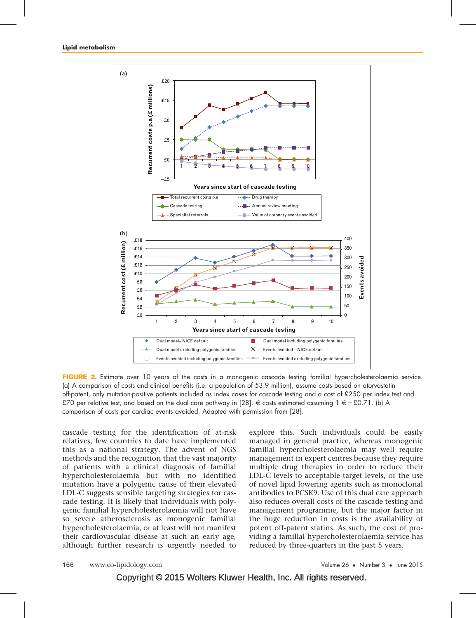

FIGURE 2. Estimate over 10 years of the costs in a monogenic cascade testing familial hypercholesterolaemia service. (a) A comparison of costs and clinical benefits (i.e. a population of 53.9 million), assume costs based on atorvastatin off-patent, only mutation-positive patients included as index cases for cascade testing and a cost of £250 per index test and £70 per relative test, and based on the dual care pathway in [\[28\].](#page-6-0)  $\in$  costs estimated assuming 1  $\in$  = £0.71. (b) A comparison of costs per cardiac events avoided. Adapted with permission from [\[28\]](#page-6-0).

cascade testing for the identification of at-risk relatives, few countries to date have implemented this as a national strategy. The advent of NGS methods and the recognition that the vast majority of patients with a clinical diagnosis of familial hypercholesterolaemia but with no identified mutation have a polygenic cause of their elevated LDL-C suggests sensible targeting strategies for cascade testing. It is likely that individuals with polygenic familial hypercholesterolaemia will not have so severe atherosclerosis as monogenic familial hypercholesterolaemia, or at least will not manifest their cardiovascular disease at such an early age, although further research is urgently needed to explore this. Such individuals could be easily managed in general practice, whereas monogenic familial hypercholesterolaemia may well require management in expert centres because they require multiple drug therapies in order to reduce their LDL-C levels to acceptable target levels, or the use of novel lipid lowering agents such as monoclonal antibodies to PCSK9. Use of this dual care approach also reduces overall costs of the cascade testing and management programme, but the major factor in the huge reduction in costs is the availability of potent off-patent statins. As such, the cost of providing a familial hypercholesterolaemia service has reduced by three-quarters in the past 5 years.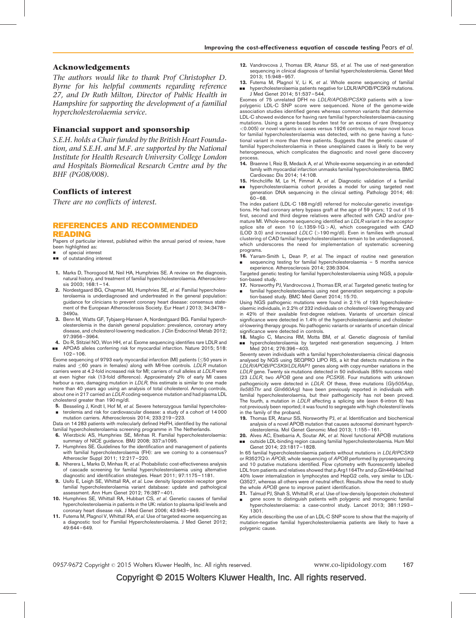#### <span id="page-5-0"></span>Acknowledgements

The authors would like to thank Prof Christopher D. Byrne for his helpful comments regarding reference 27, and Dr Ruth Milton, Director of Public Health in Hampshire for supporting the development of a familial hypercholesterolaemia service.

### Financial support and sponsorship

S.E.H. holds a Chair funded by the British Heart Foundation, and S.E.H. and M.F. are supported by the National Institute for Health Research University College London and Hospitals Biomedical Research Centre and by the BHF (PG08/008).

## Conflicts of interest

There are no conflicts of interest.

#### REFERENCES AND RECOMMENDED READING

Papers of particular interest, published within the annual period of review, have been highlighted as:

- of special interest
- $\Box$  of outstanding interest
- 1. Marks D, Thorogood M, Neil HA, Humphries SE, A review on the diagnosis. natural history, and treatment of familial hypercholesterolaemia. Atherosclerosis 2003; 168:1–14.
- 2. Nordestgaard BG, Chapman MJ, Humphries SE, et al. Familial hypercholesterolaemia is underdiagnosed and undertreated in the general population: guidance for clinicians to prevent coronary heart disease: consensus statement of the European Atherosclerosis Society. Eur Heart J 2013; 34:3478– 3490a.
- 3. Benn M, Watts GF, Tybjaerg-Hansen A, Nordestgaard BG. Familial hypercholesterolemia in the danish general population: prevalence, coronary artery disease, and cholesterol-lowering medication. J Clin Endocrinol Metab 2012; 97:3956–3964.
- 4. Do R, Stitziel NO, Won HH, et al. Exome sequencing identifies rare LDLR and && APOA5 alleles conferring risk for myocardial infarction. Nature 2015; 518: 102–106.

Exome sequencing of 9793 early myocardial infarction (MI) patients (<50 years in males and  $\leq$ 60 years in females) along with MI-free controls. LDLR mutation carriers were at 4.2-fold increased risk for MI; carriers of null alleles at LDLR were at even higher risk (13-fold difference). Approximately 2% of early MI cases harbour a rare, damaging mutation in LDLR, this estimate is similar to one made more than 40 years ago using an analysis of total cholesterol. Among controls, about one in 217 carried an LDLR coding-sequence mutation and had plasma LDL cholesterol greater than 190 mg/dl.

- 5. Besseling J, Kindt I, Hof M, et al. Severe heterozygous familial hypercholes-
- & terolemia and risk for cardiovascular disease: a study of a cohort of 14 000 mutation carriers. Atherosclerosis 2014; 233:219–223.

Data on 14 283 patients with molecularly defined HeFH, identified by the national familial hypercholesterolaemia screening programme in The Netherlands.

- 6. Wierzbicki AS, Humphries SE, Minhas R. Familial hypercholesterolaemia: summary of NICE guidance. BMJ 2008; 337:a1095.
- 7. Humphries SE. Guidelines for the identification and management of patients with familial hypercholesterolaemia (FH): are we coming to a consensus? Atheroscler Suppl 2011; 12:217–220.
- 8. Nherera L, Marks D, Minhas R, et al. Probabilistic cost-effectiveness analysis of cascade screening for familial hypercholesterolaemia using alternative diagnostic and identification strategies. Heart 2011; 97:1175–1181.
- 9. Usifo E, Leigh SE, Whittall RA, et al. Low density lipoprotein receptor gene familial hypercholesterolaemia variant database: update and pathological assessment. Ann Hum Genet 2012; 76:387–401.
- 10. Humphries SE, Whittall RA, Hubbart CS, et al. Genetic causes of familial hypercholesterolaemia in patients in the UK: relation to plasma lipid levels and coronary heart disease risk. J Med Genet 2006; 43:943–949.
- 11. Futema M, Plagnol V, Whittall RA, et al. Use of targeted exome sequencing as a diagnostic tool for Familial Hypercholesterolaemia. J Med Genet 2012; 49:644–649.
- 12. Vandrovcova J, Thomas ER, Atanur SS, et al. The use of next-generation sequencing in clinical diagnosis of familial hypercholesterolemia. Genet Med 2013; 15:948–957.
- 13. Futema M, Plagnol V, Li K, et al. Whole exome sequencing of familial && hypercholesterolaemia patients negative for LDLR/APOB/PCSK9 mutations. J Med Genet 2014; 51:537–544.

Exomes of 75 unrelated DFH no LDLR/APOB/PCSK9 patients with a lowpolygenic LDL-C SNP score were sequenced. None of the genome-wide association studies identified genes whereas common variants that determine LDL-C showed evidence for having rare familial hypercholesterolaemia-causing mutations. Using a gene-based burden test for an excess of rare (frequency <0.005) or novel variants in cases versus 1926 controls, no major novel locus for familial hypercholesterolaemia was detected, with no gene having a functional variant in more than three patients. Suggests that the genetic cause of familial hypercholesterolaemia in these unexplained cases is likely to be very heterogeneous, which complicates the diagnostic and novel gene discovery process.

- 14. Braenne I, Reiz B, Medack A, et al. Whole-exome sequencing in an extended family with myocardial infarction unmasks familial hypercholesterolemia. BMC Cardiovasc Dis 2014; 14:108.
- 15. Hinchcliffe M, Le H, Fimmel A, et al. Diagnostic validation of a familial
- && hypercholesterolaemia cohort provides a model for using targeted next generation DNA sequencing in the clinical setting. Pathology 2014; 46:  $60 - 68$

The index patient (LDL-C 188 mg/dl) referred for molecular-genetic investigations. He had coronary artery bypass graft at the age of 59 years; 12 out of 15 first, second and third degree relatives were affected with CAD and/or premature MI. Whole-exome sequencing identified an LDLR variant in the acceptor splice site of exon 10 (c.1359-1 $G$  > A), which cosegregated with CAD (LOD 3.0) and increased LDLC (>190 mg/dl). Even in families with unusual clustering of CAD familial hypercholesterolaemia remain to be underdiagnosed, which underscores the need for implementation of systematic screening programs.

16. Yarram-Smith L, Dean P, et al. The impact of routine next generation & sequencing testing for familial hypercholesterolaemia – 5 months service experience. Atherosclerosis 2014; 236:3304.

Targeted genetic testing for familial hypercholesterolaemia using NGS, a population-based study.

17. Norsworthy PJ, Vandrovcova J, Thomas ER, et al. Targeted genetic testing for & familial hypercholesterolaemia using next generation sequencing: a population-based study. BMC Med Genet 2014; 15:70.

Using NGS pathogenic mutations were found in 2.1% of 193 hypercholesterolaemic individuals, in 2.2% of 232 individuals on cholesterol-lowering therapy and in 42% of their available first-degree relatives. Variants of uncertain clinical significance were detected in 1.4% of the hypercholesterolaemic and cholesterol-lowering therapy groups. No pathogenic variants or variants of uncertain clinical significance were detected in controls.

18. Maglio C, Mancina RM, Motta BM, et al. Genetic diagnosis of familial && hypercholesterolaemia by targeted next-generation sequencing. J Intern Med 2014; 276:396–403.

Seventy seven individuals with a familial hypercholesterolaemia clinical diagnosis analysed by NGS using SEQPRO LIPO RS, a kit that detects mutations in the LDLR/APOB/PCSK9/LDLRAP1 genes along with copy-number variations in the LDLR gene. Twenty six mutations detected in 50 individuals (65% success rate) (23 LDLR, two APOB gene and one PCSK9). Four mutations with unknown pathogenicity were detected in LDLR. Of these, three mutations (Gly505Asp, Ile585Thr and Gln660Arg) have been previously reported in individuals with familial hypercholesterolaemia, but their pathogenicity has not been proved. The fourth, a mutation in LDLR affecting a splicing site (exon 6-intron 6) has not previously been reported; it was found to segregate with high cholesterol levels in the family of the proband.

- 19. Thomas ER, Atanur SS, Norsworthy PJ, et al. Identification and biochemical analysis of a novel APOB mutation that causes autosomal dominant hypercholesterolemia. Mol Genet Genomic Med 2013; 1:155–161.
- 20. Alves AC, Etxebarria A, Soutar AK, et al. Novel functional APOB mutations
- && outside LDL-binding region causing familial hypercholesterolaemia. Hum Mol Genet 2014; 23:1817–1828.

In 65 familial hypercholesterolaemia patients without mutations in LDLR/PCSK9 or R3527Q in APOB, whole sequencing of APOB performed by pyrosequencing and 10 putative mutations identified. Flow cytometry with fluorescently labelled LDL from patients and relatives showed that p.Arg1164Thr and p.Gln4494del had 40% lower internalization in lymphocytes and HepG2 cells, very similar to LDL-Q3527, whereas all others were of neutral effect. Results show the need to study the whole APOB gene to improve patient identification.

- 21. Talmud PJ, Shah S, Whittall R, et al. Use of low-density lipoprotein cholesterol
- & gene score to distinguish patients with polygenic and monogenic familial hypercholesterolaemia: a case-control study. Lancet 2013; 381:1293– 1301.

Key article describing the use of an LDL-C SNP score to show that the majority of mutation-negative familial hypercholesterolaemia patients are likely to have a polygenic cause.